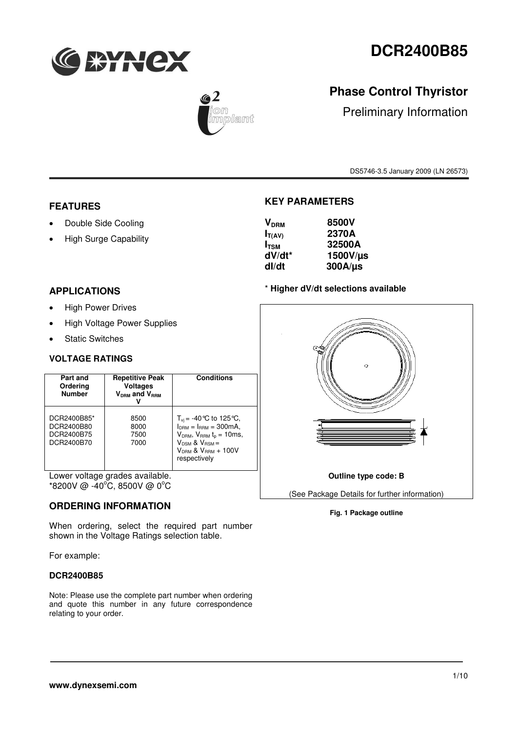



## **Phase Control Thyristor**

Preliminary Information

DS5746-3.5 January 2009 (LN 26573)

### **FEATURES**

- Double Side Cooling
- High Surge Capability

### **APPLICATIONS**

- High Power Drives
- High Voltage Power Supplies
- Static Switches

#### **VOLTAGE RATINGS**

| Part and<br>Ordering<br><b>Number</b>                 | <b>Repetitive Peak</b><br><b>Voltages</b><br>$V_{DBM}$ and $V_{BBM}$ | <b>Conditions</b>                                                                                                                                                                              |
|-------------------------------------------------------|----------------------------------------------------------------------|------------------------------------------------------------------------------------------------------------------------------------------------------------------------------------------------|
| DCR2400B85*<br>DCR2400B80<br>DCR2400B75<br>DCR2400B70 | 8500<br>8000<br>7500<br>7000                                         | $T_{\rm vi}$ = -40 °C to 125 °C,<br>$l_{DBM} = l_{BBM} = 300 \text{mA}$ .<br>$VDRM$ , $VRRM$ t <sub>p</sub> = 10ms,<br>$V_{DSM}$ & $V_{BSM}$ =<br>$V_{DBM}$ & $V_{BBM}$ + 100V<br>respectively |

Lower voltage grades available.  $*8200V \ @ -40\degree C$ , 8500V @ 0 $\degree C$ 

### **ORDERING INFORMATION**

When ordering, select the required part number shown in the Voltage Ratings selection table.

For example:

#### **DCR2400B85**

Note: Please use the complete part number when ordering and quote this number in any future correspondence relating to your order.

### **KEY PARAMETERS**

| 8500V<br>$V_{DRM}$      |
|-------------------------|
| 2370A<br>$I_{T(AV)}$    |
| 32500A<br>$I_{TSM}$     |
| dV/dt*<br>$1500V/\mu s$ |
| $300A/\mu s$<br>dl/dt   |

#### \* **Higher dV/dt selections available**



#### **Fig. 1 Package outline**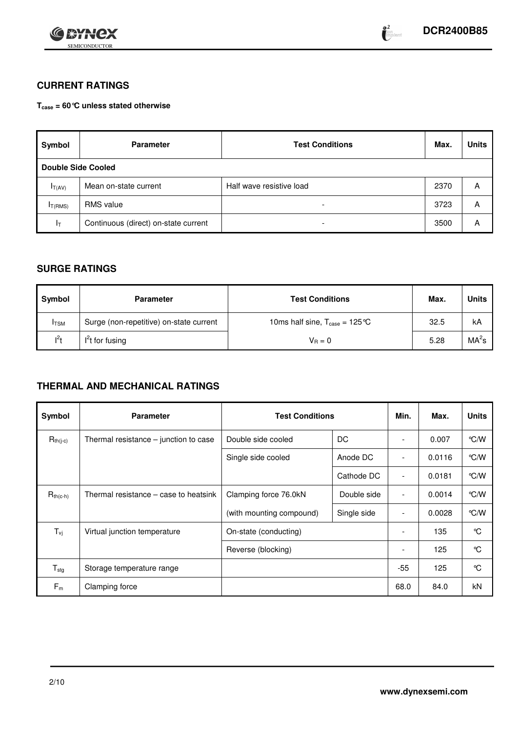

### **CURRENT RATINGS**

**Tcase = 60°C unless stated otherwise**

| Symbol                    | <b>Parameter</b>                     | <b>Test Conditions</b>   | Max. | <b>Units</b> |
|---------------------------|--------------------------------------|--------------------------|------|--------------|
| <b>Double Side Cooled</b> |                                      |                          |      |              |
| $I_{T(AV)}$               | Mean on-state current                | Half wave resistive load | 2370 | Α            |
| IT(RMS)                   | <b>RMS</b> value                     | $\overline{\phantom{a}}$ | 3723 | А            |
| ŀт                        | Continuous (direct) on-state current | $\overline{\phantom{a}}$ | 3500 | А            |

### **SURGE RATINGS**

| Symbol       | <b>Parameter</b>                        | <b>Test Conditions</b>                            | Max. | Units             |
|--------------|-----------------------------------------|---------------------------------------------------|------|-------------------|
| <b>I</b> TSM | Surge (non-repetitive) on-state current | 10ms half sine, $T_{\text{case}} = 125 \text{°C}$ | 32.5 | kA                |
| $1^2$        | $I2t$ for fusing                        | $V_{B} = 0$                                       | 5.28 | MA <sup>2</sup> s |

### **THERMAL AND MECHANICAL RATINGS**

| Symbol                     | <b>Parameter</b>                        | <b>Test Conditions</b>               | Min.        | Max.                     | <b>Units</b> |               |
|----------------------------|-----------------------------------------|--------------------------------------|-------------|--------------------------|--------------|---------------|
| $R_{th(j-c)}$              | Thermal resistance $-$ junction to case | Double side cooled                   | DC          |                          | 0.007        | $\degree$ C/W |
|                            |                                         | Single side cooled                   | Anode DC    |                          | 0.0116       | $\degree$ C/W |
|                            |                                         |                                      | Cathode DC  | $\overline{\phantom{a}}$ | 0.0181       | $\degree$ C/W |
| $R_{th(c-h)}$              | Thermal resistance – case to heatsink   | Clamping force 76.0kN<br>Double side |             | $\overline{\phantom{a}}$ | 0.0014       | $\degree$ C/W |
|                            |                                         | (with mounting compound)             | Single side | $\overline{\phantom{a}}$ | 0.0028       | $\degree$ C/W |
| $T_{\nu j}$                | Virtual junction temperature            | On-state (conducting)                |             |                          | 135          | °C            |
|                            |                                         | Reverse (blocking)                   |             | $\overline{\phantom{a}}$ | 125          | °C            |
| ${\mathsf T}_{\text{stg}}$ | Storage temperature range               |                                      | $-55$       | 125                      | °C           |               |
| $F_m$                      | Clamping force                          |                                      |             | 68.0                     | 84.0         | <b>kN</b>     |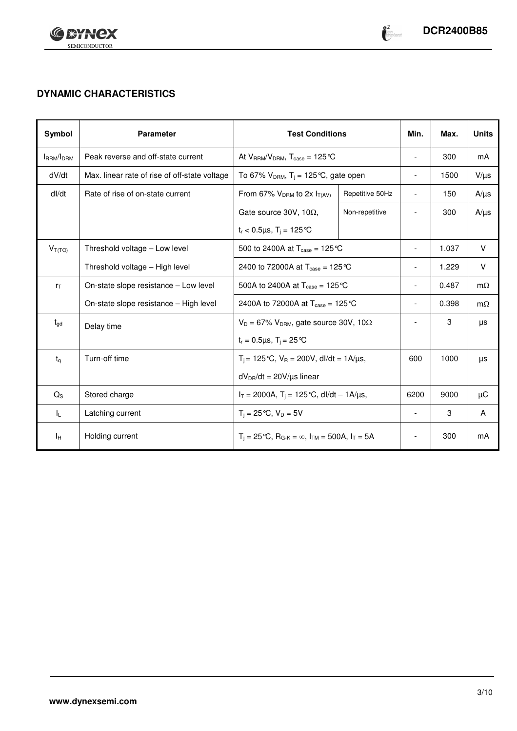

## **DYNAMIC CHARACTERISTICS**

| Symbol          | <b>Parameter</b>                              | <b>Test Conditions</b>                                                   |                 | Min.                     | Max.  | <b>Units</b> |
|-----------------|-----------------------------------------------|--------------------------------------------------------------------------|-----------------|--------------------------|-------|--------------|
| IRRM/IDRM       | Peak reverse and off-state current            | At $V_{RRM}/V_{DRM}$ , $T_{case} = 125 \degree C$                        |                 | $\overline{\phantom{a}}$ | 300   | mA           |
| dV/dt           | Max. linear rate of rise of off-state voltage | To 67% $V_{DRM}$ , T <sub>j</sub> = 125 °C, gate open                    |                 | $\overline{\phantom{a}}$ | 1500  | $V/\mu s$    |
| dl/dt           | Rate of rise of on-state current              | From 67% $V_{DRM}$ to 2x $I_{T(AV)}$                                     | Repetitive 50Hz | $\overline{\phantom{a}}$ | 150   | $A/\mu s$    |
|                 |                                               | Gate source 30V, 10 $\Omega$ ,                                           | Non-repetitive  | $\overline{a}$           | 300   | $A/\mu s$    |
|                 |                                               | $t_r < 0.5 \mu s$ , $T_i = 125 \text{°C}$                                |                 |                          |       |              |
| $V_{T(TO)}$     | Threshold voltage - Low level                 | 500 to 2400A at $T_{\text{case}} = 125 \text{°C}$                        |                 | $\overline{\phantom{a}}$ | 1.037 | V            |
|                 | Threshold voltage - High level                | 2400 to 72000A at $T_{\text{case}} = 125 \text{°C}$                      |                 |                          | 1.229 | $\vee$       |
| $r_{\text{T}}$  | On-state slope resistance – Low level         | 500A to 2400A at $T_{\text{case}} = 125 \text{°C}$                       |                 | $\overline{a}$           | 0.487 | $m\Omega$    |
|                 | On-state slope resistance - High level        | 2400A to 72000A at $T_{\text{case}} = 125 \text{°C}$                     |                 | $\overline{\phantom{a}}$ | 0.398 | $m\Omega$    |
| $t_{\text{gd}}$ | Delay time                                    | $V_D = 67\% V_{DRM}$ , gate source 30V, 10 $\Omega$                      |                 | $\overline{\phantom{a}}$ | 3     | μs           |
|                 |                                               | $t_r = 0.5 \mu s$ , $T_i = 25 \text{°C}$                                 |                 |                          |       |              |
| $t_{q}$         | Turn-off time                                 | $T_i = 125 \degree C$ , $V_R = 200 V$ , dl/dt = 1A/ $\mu$ s,             |                 | 600                      | 1000  | μs           |
|                 |                                               | $dV_{DR}/dt = 20V/\mu s$ linear                                          |                 |                          |       |              |
| $Q_{\rm S}$     | Stored charge                                 | $I_T = 2000A$ , $T_i = 125$ °C, dl/dt – 1A/us,                           |                 | 6200                     | 9000  | μC           |
| 址               | Latching current                              | $T_i = 25^{\circ}C$ , $V_D = 5V$                                         |                 | $\blacksquare$           | 3     | A            |
| Iн              | Holding current                               | $T_i = 25 \degree C$ , $R_{G-K} = \infty$ , $I_{TM} = 500A$ , $I_T = 5A$ |                 | $\overline{\phantom{a}}$ | 300   | mA           |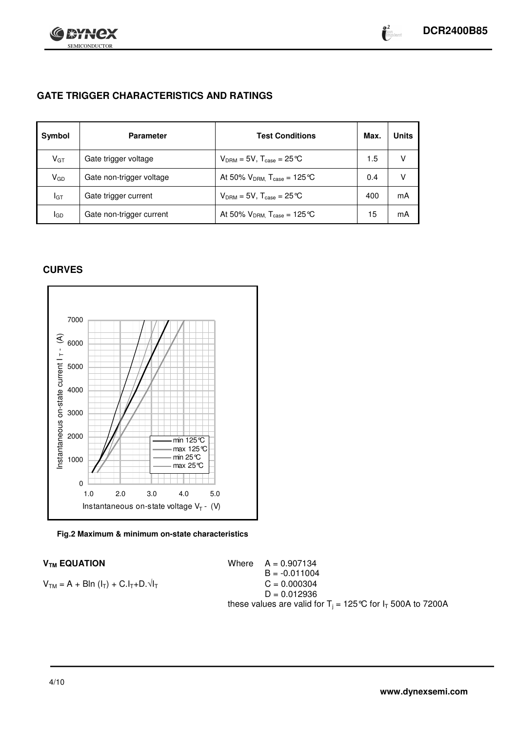



### **GATE TRIGGER CHARACTERISTICS AND RATINGS**

| Symbol      | <b>Parameter</b>         | <b>Test Conditions</b>                    | Max. | <b>Units</b> |
|-------------|--------------------------|-------------------------------------------|------|--------------|
| $V_{GT}$    | Gate trigger voltage     | $V_{DRM} = 5V$ , $T_{case} = 25^{\circ}C$ | 1.5  | V            |
| $V_{GD}$    | Gate non-trigger voltage | At 50% $V_{DRM}$ , $T_{case} = 125$ °C    | 0.4  | v            |
| IGT         | Gate trigger current     | $V_{DRM} = 5V$ , $T_{case} = 25^{\circ}C$ | 400  | mA           |
| <b>I</b> GD | Gate non-trigger current | At 50% $V_{DRM}$ , $T_{case} = 125$ °C    | 15   | mA           |

### **CURVES**



#### **Fig.2 Maximum & minimum on-state characteristics**

#### $V_{TM}$  **EQUATION** Where  $A = 0.907134$

 $B = -0.011004$ <br>C = 0.000304  $V_{TM} = A + B \ln (I_T) + C.I_T + D.\sqrt{I_T}$  $D = 0.012936$ these values are valid for T $_{\rm j}$  = 125 °C for I $_{\rm T}$  500A to 7200A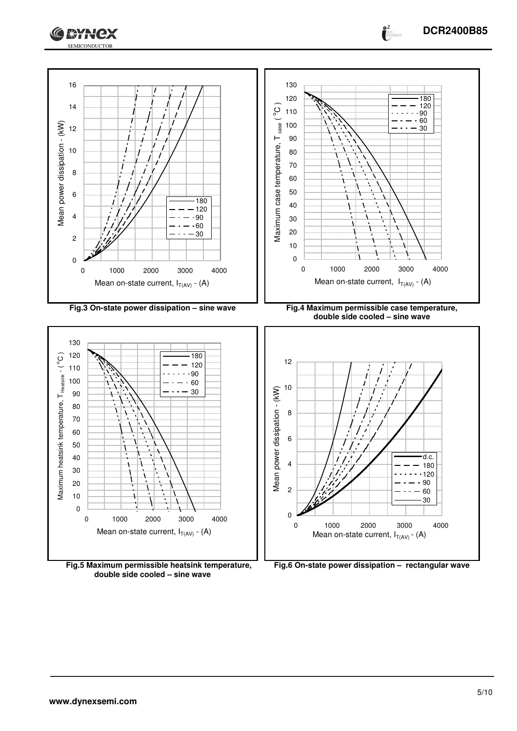



**Fig.5 Maximum permissible heatsink temperature, double side cooled – sine wave**



 $\bullet^2$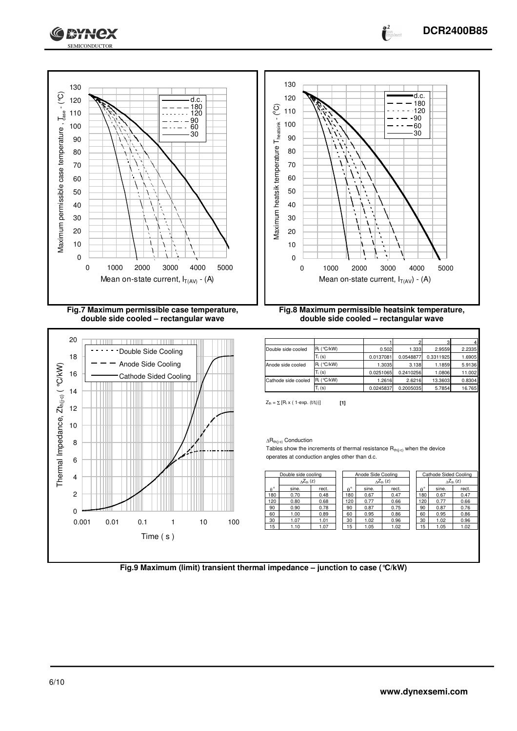





| Double side cooled  | $R_i$ ( °C/kW) | 0.502     | 1.333     | 2.9559    | 2.2335 |
|---------------------|----------------|-----------|-----------|-----------|--------|
|                     | $T_i(s)$       | 0.0137081 | 0.0548877 | 0.3311925 | 1.6905 |
| Anode side cooled   | $R_i$ (°C/kW)  | 1.3035    | 3.138     | 1.1859    | 5.9136 |
|                     | $T_i(s)$       | 0.0251065 | 0.2410256 | 1.0806    | 11.002 |
| Cathode side cooled | $R_i$ (°C/kW)  | 1.2616    | 2.6216    | 13.3603   | 0.8304 |
|                     | $T_i(s)$       | 0.0245837 | 0.2005035 | 5.7854    | 16.765 |

 $Z_{\text{th}} = \sum [R_i \times (1-\exp. (t/t_i))]$  [1]

 $\Delta R_{th(j-c)}$  Conduction

Tables show the increments of thermal resistance  $R_{th(j-c)}$  when the device operates at conduction angles other than d.c.

| Double side cooling |                           |       |                     | Anode Side Cooling  |       |              | Cathode Sided Cooling |                           |  |  |
|---------------------|---------------------------|-------|---------------------|---------------------|-------|--------------|-----------------------|---------------------------|--|--|
|                     | $\Delta Z_{\text{th}}(z)$ |       |                     | $\Delta Z_{th}$ (z) |       |              |                       | $\Delta Z_{\text{th}}(z)$ |  |  |
| $A^{\circ}$         | sine.                     | rect. | . о<br>$\mathbf{A}$ | sine.               | rect. | $\circ$<br>A | sine.                 | rect.                     |  |  |
| 180                 | 0.70                      | 0.48  | 180                 | 0.67                | 0.47  | 80           | 0.67                  | 0.47                      |  |  |
| 20                  | 0.80                      | 0.68  | 120                 | 0.77                | 0.66  | 20           | 0.77                  | 0.66                      |  |  |
| 90                  | 0.90                      | 0.78  | 90                  | 0.87                | 0.75  | 90           | 0.87                  | 0.76                      |  |  |
| 60                  | 1.00                      | 0.89  | 60                  | 0.95                | 0.86  | 60           | 0.95                  | 0.86                      |  |  |
| 30                  | 1.07                      | 1.01  | 30                  | 1.02                | 0.96  | 30           | 1.02                  | 0.96                      |  |  |
| 15                  | 1.10                      | 1.07  | 5                   | 1.05                | 1.02  | 15           | 1.05                  | 1.02                      |  |  |

**Fig.9 Maximum (limit) transient thermal impedance – junction to case (°C/kW)**

**DCR2400B85**

 $\bullet^2$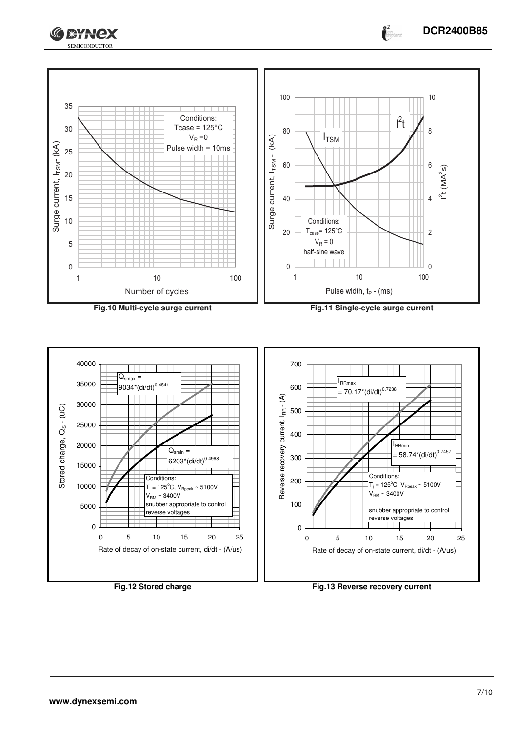





 $\bullet^2$ 





**Fig.12 Stored charge Fig.13 Reverse recovery current**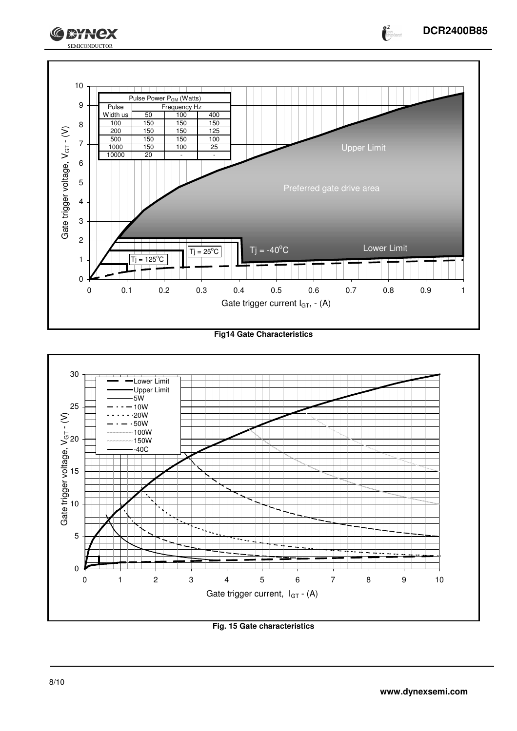

**Fig14 Gate Characteristics**



**Fig. 15 Gate characteristics**

**o** 2<br>**A**lon<sub>polarit</sub>

**GEYNCX**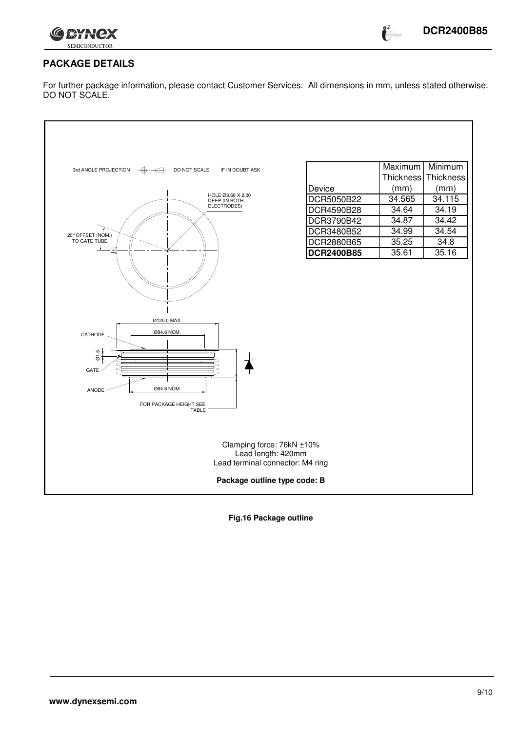

### **PACKAGE DETAILS**

For further package information, please contact Customer Services. All dimensions in mm, unless stated otherwise. DO NOT SCALE.

| 3rd ANGLE PROJECTION<br>DO NOT SCALE<br>$\cdot \bigoplus$<br>IF IN DOUBT ASK<br>HOLE Ø3.60 X 2.00<br>DEEP (IN BOTH<br>ELECTRODES)<br>20° OFFSET (NOM.)<br>TO GATE TUBE | Device<br>DCR5050B22<br>DCR4590B28<br>DCR3790B42<br>DCR3480B52<br>DCR2880B65<br><b>DCR2400B85</b> | Maximum<br>Thickness<br>(mm)<br>34.565<br>34.64<br>34.87<br>34.99<br>35.25<br>35.61 | Minimum<br>Thickness<br>(mm)<br>34.115<br>34.19<br>34.42<br>34.54<br>34.8<br>35.16 |
|------------------------------------------------------------------------------------------------------------------------------------------------------------------------|---------------------------------------------------------------------------------------------------|-------------------------------------------------------------------------------------|------------------------------------------------------------------------------------|
| Ø120.0 MAX.<br>Ø84.6 NOM.<br>CATHODE -<br>$\overline{Q}$ 1.5<br>GATE<br>Ø84.6 NOM.<br>ANODE<br>FOR PACKAGE HEIGHT SEE<br><b>TABLE</b>                                  |                                                                                                   |                                                                                     |                                                                                    |
| Clamping force: 76kN ±10%<br>Lead length: 420mm<br>Lead terminal connector: M4 ring<br>Package outline type code: B                                                    |                                                                                                   |                                                                                     |                                                                                    |

**Fig.16 Package outline**